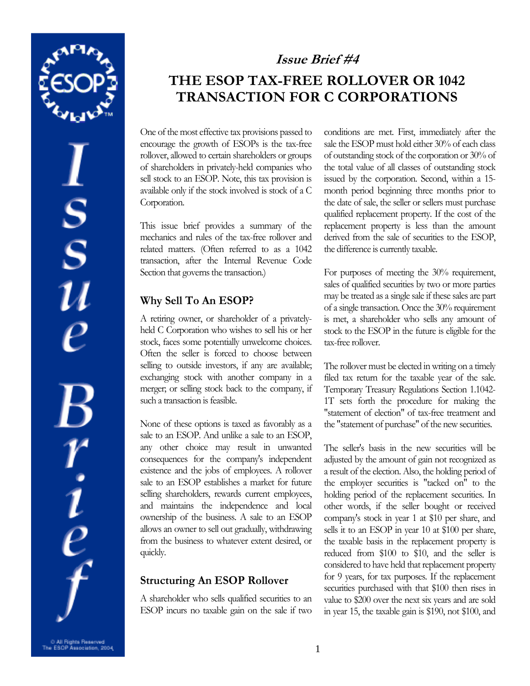

 $S_S$  $\frac{r}{\rho}$ 

# **Issue Brief #4 THE ESOP TAX-FREE ROLLOVER OR 1042 TRANSACTION FOR C CORPORATIONS**

One of the most effective tax provisions passed to encourage the growth of ESOPs is the tax-free rollover, allowed to certain shareholders or groups of shareholders in privately-held companies who sell stock to an ESOP. Note, this tax provision is available only if the stock involved is stock of a C Corporation.

This issue brief provides a summary of the mechanics and rules of the tax-free rollover and related matters. (Often referred to as a 1042 transaction, after the Internal Revenue Code Section that governs the transaction.)

## **Why Sell To An ESOP?**

A retiring owner, or shareholder of a privatelyheld C Corporation who wishes to sell his or her stock, faces some potentially unwelcome choices. Often the seller is forced to choose between selling to outside investors, if any are available; exchanging stock with another company in a merger; or selling stock back to the company, if such a transaction is feasible.

None of these options is taxed as favorably as a sale to an ESOP. And unlike a sale to an ESOP, any other choice may result in unwanted consequences for the company's independent existence and the jobs of employees. A rollover sale to an ESOP establishes a market for future selling shareholders, rewards current employees, and maintains the independence and local ownership of the business. A sale to an ESOP allows an owner to sell out gradually, withdrawing from the business to whatever extent desired, or quickly.

## **Structuring An ESOP Rollover**

A shareholder who sells qualified securities to an ESOP incurs no taxable gain on the sale if two

conditions are met. First, immediately after the sale the ESOP must hold either 30% of each class of outstanding stock of the corporation or 30% of the total value of all classes of outstanding stock issued by the corporation. Second, within a 15 month period beginning three months prior to the date of sale, the seller or sellers must purchase qualified replacement property. If the cost of the replacement property is less than the amount derived from the sale of securities to the ESOP, the difference is currently taxable.

For purposes of meeting the 30% requirement, sales of qualified securities by two or more parties may be treated as a single sale if these sales are part of a single transaction. Once the 30% requirement is met, a shareholder who sells any amount of stock to the ESOP in the future is eligible for the tax-free rollover.

The rollover must be elected in writing on a timely filed tax return for the taxable year of the sale. Temporary Treasury Regulations Section 1.1042- 1T sets forth the procedure for making the "statement of election" of tax-free treatment and the "statement of purchase" of the new securities.

The seller's basis in the new securities will be adjusted by the amount of gain not recognized as a result of the election. Also, the holding period of the employer securities is "tacked on" to the holding period of the replacement securities. In other words, if the seller bought or received company's stock in year 1 at \$10 per share, and sells it to an ESOP in year 10 at \$100 per share, the taxable basis in the replacement property is reduced from \$100 to \$10, and the seller is considered to have held that replacement property for 9 years, for tax purposes. If the replacement securities purchased with that \$100 then rises in value to \$200 over the next six years and are sold in year 15, the taxable gain is \$190, not \$100, and